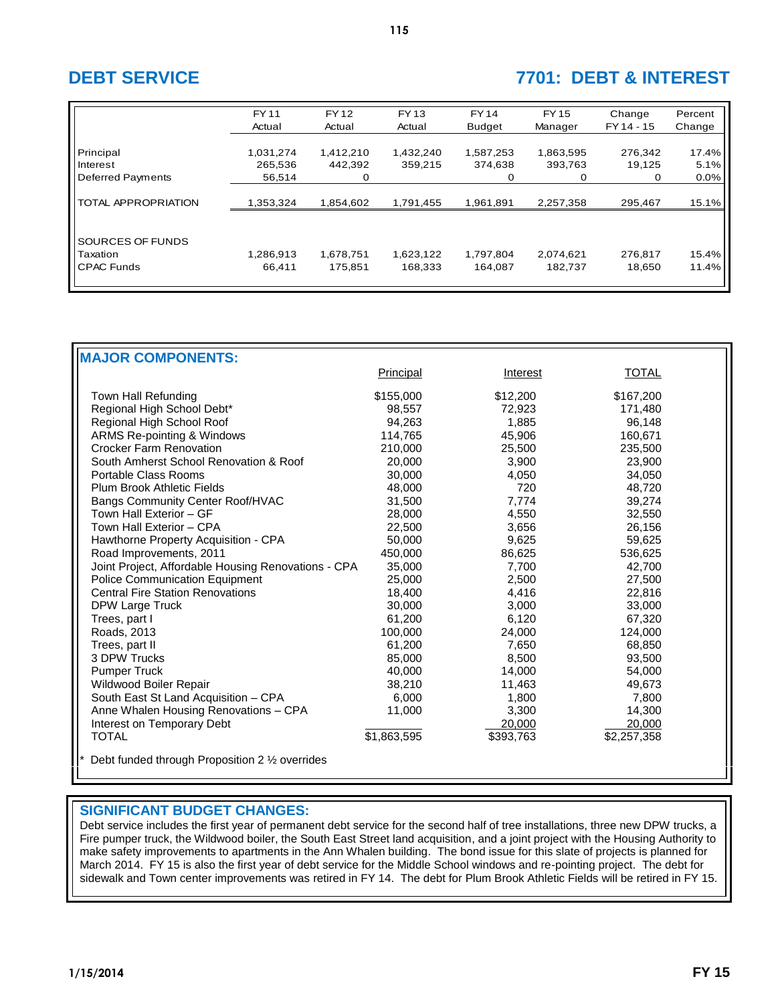## **DEBT SERVICE 7701: DEBT & INTEREST**

|                                                   | FY 11<br>Actual                | FY 12<br>Actual           | FY 13<br>Actual      | FY 14<br><b>Budget</b>    | FY 15<br>Manager          | Change<br>FY 14 - 15   | Percent<br>Change        |
|---------------------------------------------------|--------------------------------|---------------------------|----------------------|---------------------------|---------------------------|------------------------|--------------------------|
| Principal<br>Interest<br><b>Deferred Payments</b> | 1,031,274<br>265,536<br>56,514 | 1,412,210<br>442,392<br>0 | 1,432,240<br>359,215 | 1,587,253<br>374,638<br>0 | 1,863,595<br>393,763<br>0 | 276,342<br>19,125<br>0 | 17.4%<br>5.1%<br>$0.0\%$ |
| TOTAL APPROPRIATION                               | 1,353,324                      | 1,854,602                 | 1,791,455            | 1,961,891                 | 2,257,358                 | 295,467                | 15.1%                    |
| SOURCES OF FUNDS<br>Taxation<br><b>CPAC Funds</b> | 1,286,913<br>66.411            | 1,678,751<br>175.851      | 1,623,122<br>168,333 | 1,797,804<br>164.087      | 2,074,621<br>182.737      | 276,817<br>18,650      | 15.4%<br>11.4%           |

| <b>MAJOR COMPONENTS:</b>                            | Principal   | Interest  | <b>TOTAL</b> |
|-----------------------------------------------------|-------------|-----------|--------------|
|                                                     |             |           |              |
| Town Hall Refunding                                 | \$155,000   | \$12,200  | \$167,200    |
| Regional High School Debt*                          | 98.557      | 72.923    | 171,480      |
| Regional High School Roof                           | 94,263      | 1.885     | 96,148       |
| <b>ARMS Re-pointing &amp; Windows</b>               | 114,765     | 45,906    | 160,671      |
| <b>Crocker Farm Renovation</b>                      | 210,000     | 25,500    | 235,500      |
| South Amherst School Renovation & Roof              | 20,000      | 3,900     | 23,900       |
| Portable Class Rooms                                | 30,000      | 4,050     | 34,050       |
| Plum Brook Athletic Fields                          | 48,000      | 720       | 48,720       |
| Bangs Community Center Roof/HVAC                    | 31,500      | 7,774     | 39,274       |
| Town Hall Exterior - GF                             | 28,000      | 4,550     | 32,550       |
| Town Hall Exterior - CPA                            | 22,500      | 3,656     | 26,156       |
| Hawthorne Property Acquisition - CPA                | 50,000      | 9,625     | 59,625       |
| Road Improvements, 2011                             | 450,000     | 86,625    | 536,625      |
| Joint Project, Affordable Housing Renovations - CPA | 35,000      | 7,700     | 42,700       |
| <b>Police Communication Equipment</b>               | 25,000      | 2,500     | 27,500       |
| <b>Central Fire Station Renovations</b>             | 18,400      | 4,416     | 22,816       |
| DPW Large Truck                                     | 30,000      | 3,000     | 33,000       |
| Trees, part I                                       | 61,200      | 6,120     | 67,320       |
| Roads, 2013                                         | 100,000     | 24,000    | 124,000      |
| Trees, part II                                      | 61,200      | 7,650     | 68,850       |
| 3 DPW Trucks                                        | 85,000      | 8,500     | 93,500       |
| <b>Pumper Truck</b>                                 | 40,000      | 14,000    | 54,000       |
| Wildwood Boiler Repair                              | 38,210      | 11,463    | 49,673       |
| South East St Land Acquisition - CPA                | 6,000       | 1,800     | 7,800        |
| Anne Whalen Housing Renovations - CPA               | 11,000      | 3,300     | 14,300       |
| Interest on Temporary Debt                          |             | 20,000    | 20,000       |
| <b>TOTAL</b>                                        | \$1,863,595 | \$393,763 | \$2,257,358  |
| Debt funded through Proposition 2 1/2 overrides     |             |           |              |

### **SIGNIFICANT BUDGET CHANGES:**

Debt service includes the first year of permanent debt service for the second half of tree installations, three new DPW trucks, a Fire pumper truck, the Wildwood boiler, the South East Street land acquisition, and a joint project with the Housing Authority to make safety improvements to apartments in the Ann Whalen building. The bond issue for this slate of projects is planned for March 2014. FY 15 is also the first year of debt service for the Middle School windows and re-pointing project. The debt for sidewalk and Town center improvements was retired in FY 14. The debt for Plum Brook Athletic Fields will be retired in FY 15.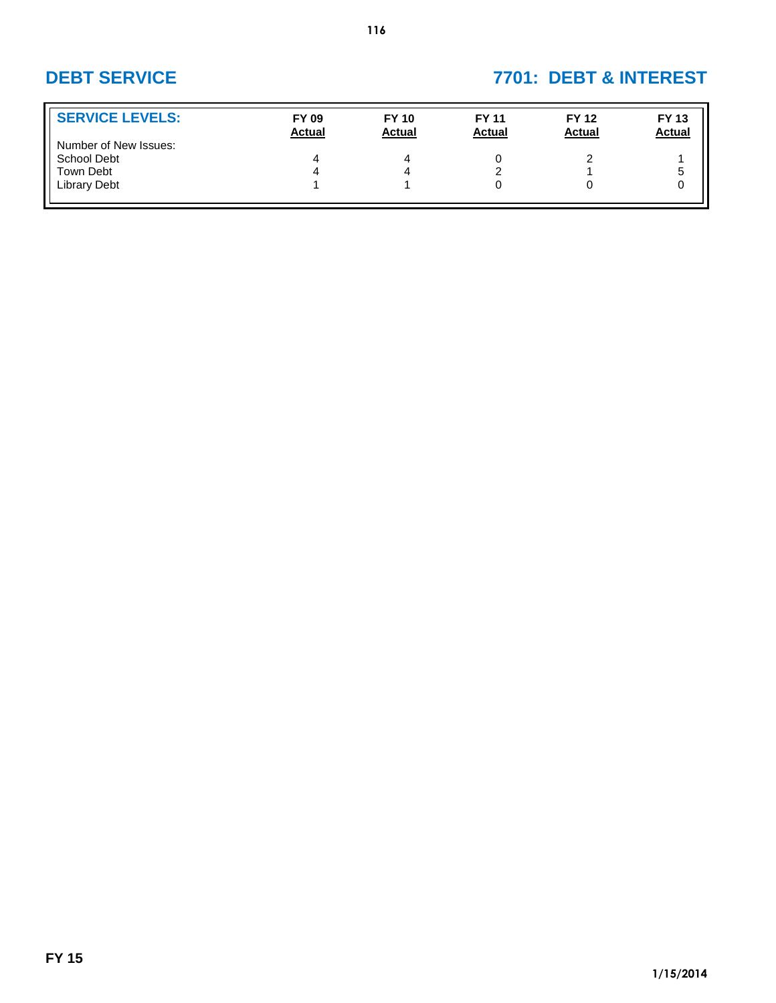# **DEBT SERVICE 7701: DEBT & INTEREST**

| <b>SERVICE LEVELS:</b>               | <b>FY 09</b><br><b>Actual</b> | <b>FY 10</b><br><b>Actual</b> | <b>FY 11</b><br><b>Actual</b> | <b>FY 12</b><br><b>Actual</b> | <b>FY 13</b><br><b>Actual</b> |
|--------------------------------------|-------------------------------|-------------------------------|-------------------------------|-------------------------------|-------------------------------|
| Number of New Issues:<br>School Debt | 4                             | 4                             |                               |                               |                               |
| <b>Town Debt</b>                     | 4                             | 4                             |                               |                               | 5                             |
| <b>Library Debt</b>                  |                               |                               |                               |                               |                               |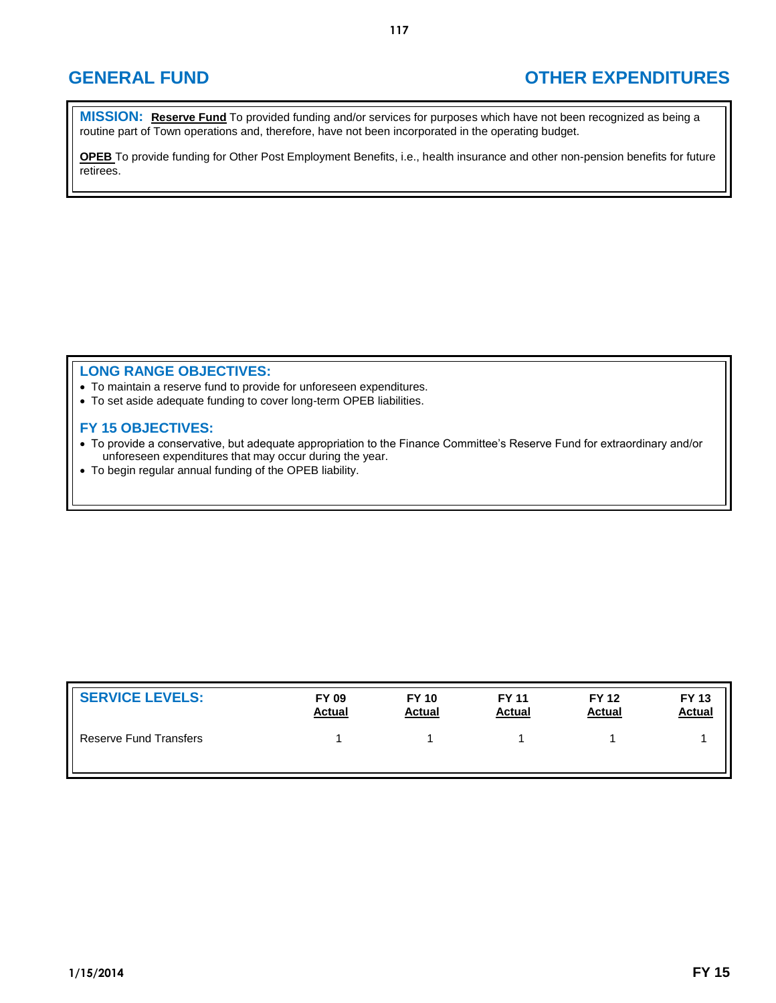## **GENERAL FUND OTHER EXPENDITURES**

**MISSION: Reserve Fund** To provided funding and/or services for purposes which have not been recognized as being a routine part of Town operations and, therefore, have not been incorporated in the operating budget.

**OPEB** To provide funding for Other Post Employment Benefits, i.e., health insurance and other non-pension benefits for future retirees.

### **LONG RANGE OBJECTIVES:**

- To maintain a reserve fund to provide for unforeseen expenditures.
- To set aside adequate funding to cover long-term OPEB liabilities.

## **FY 15 OBJECTIVES:**

- To provide a conservative, but adequate appropriation to the Finance Committee's Reserve Fund for extraordinary and/or unforeseen expenditures that may occur during the year.
- To begin regular annual funding of the OPEB liability.

| <b>SERVICE LEVELS:</b> | <b>FY 09</b>  | <b>FY 10</b> | <b>FY 11</b>  | <b>FY 12</b> | <b>FY 13</b>  |
|------------------------|---------------|--------------|---------------|--------------|---------------|
|                        | <b>Actual</b> | Actual       | <b>Actual</b> | Actual       | <b>Actual</b> |
| Reserve Fund Transfers |               |              |               |              |               |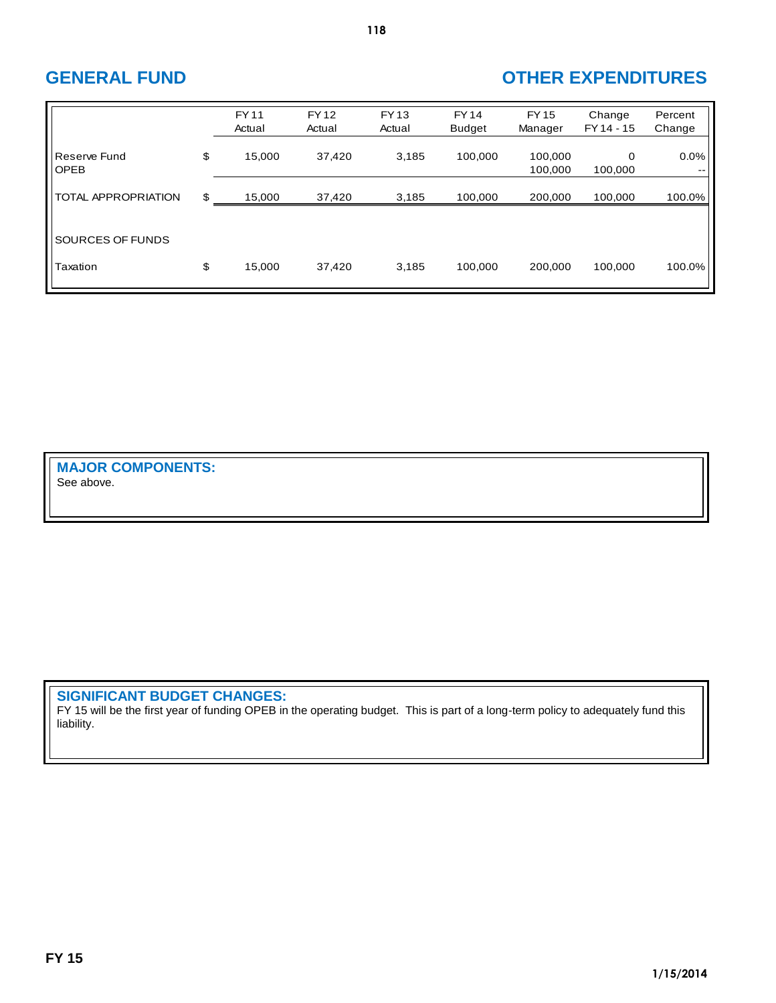## **GENERAL FUND OTHER EXPENDITURES**

|                             | <b>FY11</b><br>Actual | <b>FY12</b><br>Actual | <b>FY13</b><br>Actual | <b>FY14</b><br><b>Budget</b> | <b>FY15</b><br>Manager | Change<br>FY 14 - 15 | Percent<br>Change |
|-----------------------------|-----------------------|-----------------------|-----------------------|------------------------------|------------------------|----------------------|-------------------|
| Reserve Fund<br><b>OPEB</b> | \$<br>15,000          | 37,420                | 3,185                 | 100,000                      | 100,000<br>100.000     | 0<br>100,000         | 0.0%<br>$- -$     |
| <b>TOTAL APPROPRIATION</b>  | \$<br>15,000          | 37,420                | 3,185                 | 100,000                      | 200,000                | 100,000              | 100.0%            |
| SOURCES OF FUNDS            |                       |                       |                       |                              |                        |                      |                   |
| Taxation                    | \$<br>15,000          | 37,420                | 3,185                 | 100,000                      | 200.000                | 100.000              | 100.0%            |

**MAJOR COMPONENTS:** See above.

## **SIGNIFICANT BUDGET CHANGES:**

FY 15 will be the first year of funding OPEB in the operating budget. This is part of a long-term policy to adequately fund this liability.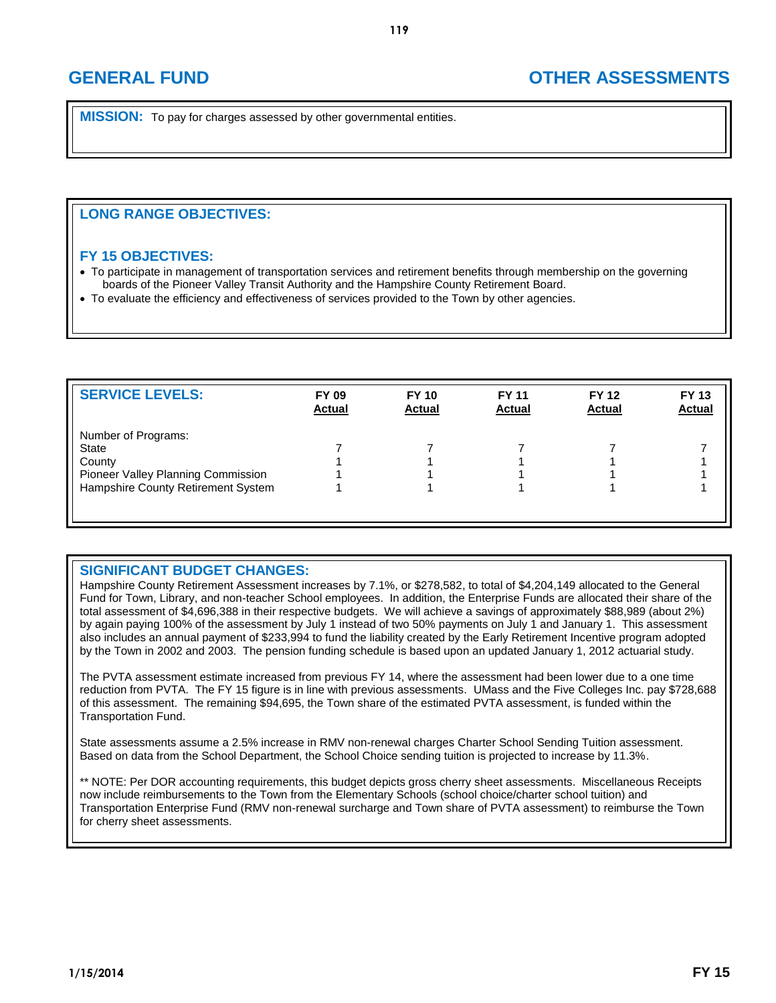## **GENERAL FUND OTHER ASSESSMENTS**

**MISSION:** To pay for charges assessed by other governmental entities.

### **LONG RANGE OBJECTIVES:**

### **FY 15 OBJECTIVES:**

 To participate in management of transportation services and retirement benefits through membership on the governing boards of the Pioneer Valley Transit Authority and the Hampshire County Retirement Board.

To evaluate the efficiency and effectiveness of services provided to the Town by other agencies.

| <b>SERVICE LEVELS:</b>             | <b>FY 09</b><br><b>Actual</b> | <b>FY 10</b><br><b>Actual</b> | <b>FY 11</b><br><b>Actual</b> | <b>FY 12</b><br><b>Actual</b> | <b>FY 13</b><br><b>Actual</b> |
|------------------------------------|-------------------------------|-------------------------------|-------------------------------|-------------------------------|-------------------------------|
| Number of Programs:                |                               |                               |                               |                               |                               |
| State                              |                               |                               |                               |                               |                               |
| County                             |                               |                               |                               |                               |                               |
| Pioneer Valley Planning Commission |                               |                               |                               |                               |                               |
| Hampshire County Retirement System |                               |                               |                               |                               |                               |
|                                    |                               |                               |                               |                               |                               |
|                                    |                               |                               |                               |                               |                               |

### **SIGNIFICANT BUDGET CHANGES:**

Hampshire County Retirement Assessment increases by 7.1%, or \$278,582, to total of \$4,204,149 allocated to the General Fund for Town, Library, and non-teacher School employees. In addition, the Enterprise Funds are allocated their share of the total assessment of \$4,696,388 in their respective budgets. We will achieve a savings of approximately \$88,989 (about 2%) by again paying 100% of the assessment by July 1 instead of two 50% payments on July 1 and January 1. This assessment also includes an annual payment of \$233,994 to fund the liability created by the Early Retirement Incentive program adopted by the Town in 2002 and 2003. The pension funding schedule is based upon an updated January 1, 2012 actuarial study.

The PVTA assessment estimate increased from previous FY 14, where the assessment had been lower due to a one time reduction from PVTA. The FY 15 figure is in line with previous assessments. UMass and the Five Colleges Inc. pay \$728,688 of this assessment. The remaining \$94,695, the Town share of the estimated PVTA assessment, is funded within the Transportation Fund.

State assessments assume a 2.5% increase in RMV non-renewal charges Charter School Sending Tuition assessment. Based on data from the School Department, the School Choice sending tuition is projected to increase by 11.3%.

\*\* NOTE: Per DOR accounting requirements, this budget depicts gross cherry sheet assessments. Miscellaneous Receipts now include reimbursements to the Town from the Elementary Schools (school choice/charter school tuition) and Transportation Enterprise Fund (RMV non-renewal surcharge and Town share of PVTA assessment) to reimburse the Town for cherry sheet assessments.